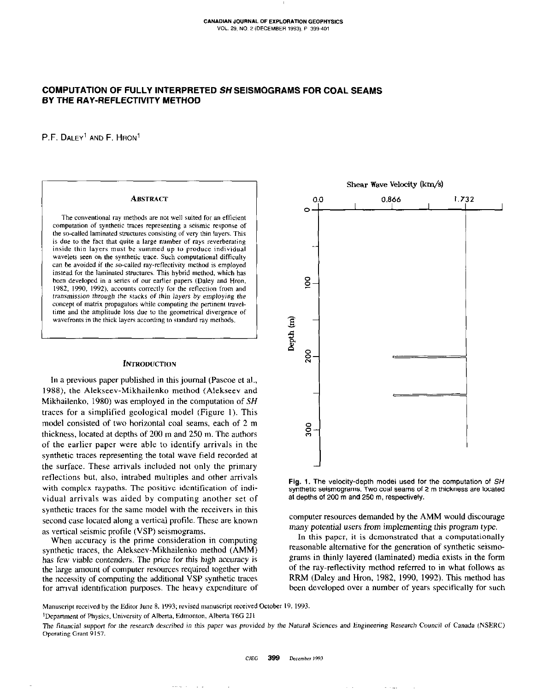$\mathsf{I}$ 

# COMPUTATION OF FULLY INTERPRETED SH SEISMOGRAMS FOR COAL SEAMS BY THE RAY-REFLECTIVITY METHOD

P.F. DALEY' AND F. HRON'

## **ABSTRACT**

The conventional ray methods are not well suited for an efficient computation of synthetic traces representing a seismic response of the so-called laminated structures consisting of very thin layers. This is due to the fact that quite a large number of rays reverberating inside thin layers must be summed up to produce individual wavelets seen on the synthetic trace. Such computational difficulty can be avoided if the so-called ray-reflectivity method is employed instead for the laminated structures. This hybrid method, which has been developed in a series of our earlier papers (Daley and Hron, 1982. 1990, 1992). accounts correctly for the reflection from and transmission through the stacks of thin layers by employing the concept of matrix propagators while computing the pertinent traveltime and the amplitude loss due to the geometrical divergence of wavefronts in the thick layers according to standard ray methods.

#### **INTRODUCTION**

In a previous paper published in this journal (Pascoe et al., 1988), the Alekseev-Mikhailenko method (Alekseev and Mikhailenko, 1980) was employed in the computation of SH traces for a simplified geological model (Figure I). This model consisted of two horizontal coal seams, each of 2 m thickness, located at depths of 200 m and 250 m. The authors of the earlier paper were able to identify arrivals in the synthetic traces representing the total wave field recorded at the surface. These arrivals included not only the primary reflections but, also, intrabed multiples and other arrivals with complex raypaths. The positive identification of individual arrivals was aided by computing another set of synthetic traces for the same model with the receivers in this second case located along a vertical profile. These are known as vertical seismic profile (VSP) seismograms.

When accuracy is the prime consideration in computing synthetic traces, the Alekseev-Mikhailenko method (AMM) has few viable contenders. The price for this high accuracy is the large amount of computer resources required together with the necessity of computing the additional VSP synthetic traces for arrival identification purposes. The heavy expenditure of





computer resources demanded by the AMM would discourage many potential users from implementing this program type.

In this paper, it is demonstrated that a computationally reasonable alternative for the generation of synthetic seismograms in thinly layered (laminated) media exists in the form of the ray-reflectivity method referred to in what follows as RRM (Daley and Hron, 1982, 1990, 1992). This method has been developed over a number of years specifically for such

Manuscript received by the Editar June 8, 1993; revised manuscript received October 19, 1993.

<sup>1</sup>Department of Physics, University of Alberta, Edmonton, Alberta T6G 2J1

The financial support for the research described in this paper was provided by the Natural Sciences and Engineering Research Council of Canada (NSERC) operating Grant 9157.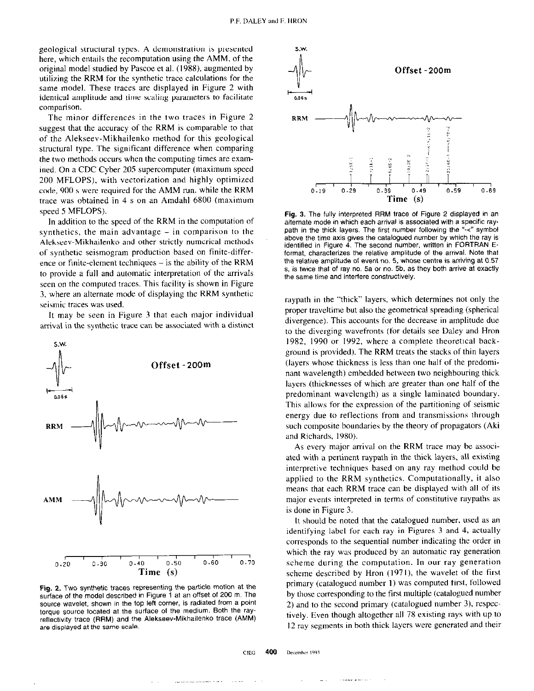geological structural types. A demonstration is presented here, which entails the recomputation using the AMM, of the original model studied by Pascoe et al. (1988). augmented by utilising the RRM for the synthetic trace calculations for the same model. These traces are displayed in Figure 2 with identical amplitude and time scaling parameters to facilitate comparison.

The minor differences in the two traces in Figure 2 suggest that the accuracy of the RRM is comparable to that of the Alekseev-Mikhailenko method for this geological structural type. The significant difference when comparing the two methods occurs when the computing times are examined. On a CDC Cyber 205 supercomputer (maximum speed 200 MFLOPS), with vectorization and highly optimized code, 900 s were required for the AMM run, while the RRM trace was obtained in 4 s on an Amdahl 6800 (maximum speed 5 MFLOPS).

In addition to the speed of the RRM in the computation of synthetics, the main advantage - in comparison to the Alekseev-Mikhailenko and other strictly numerical methods of synthetic seismogram production based on finite-difference or finite-element techniques  $-$  is the ability of the RRM to provide a full and automatic interpretation of the arrivals seen on the computed traces. This facility is shown in Figure 3, where an alternate mode of displaying the RRM synthetic seismic traces was used.

It may be seen in Figure 3 that each major individual arrival in the synthetic trace can be associated with a distinct



Fig. 2. Two synthetic traces representing the particle motion at the surface of the model described in Figure 1 at an offset of 200 m. The source wavelet, shown in the top left corner, is radiated from a point torque source located at the surface of the medium. Both the rayreflectivity trace (RRM) and the Alekseev-Mikhailenko trace (AMM) are displayed at the same scale.



Fig. 3. The fully interpreted RRM trace of Figure 2 displayed in an alternate mode in which each arrival is associated with a specific raypath in the thick layers. The first number following the "-<" symbol above the time axis gives the catalogued number by which the ray is identified in Figure 4. The second number, written in FORTRAN Eformat, characterizes the relative amplitude of the arrival. Note that the relative amplitude of event no. 5, whose centre is arriving at 0.57 s. is twice that of ray no. 5a or no. 5b. as they both arrive at exactly the same time and interfere constructively.

raypath in the "thick" layers, which determines not only the proper traveltime but also the geometrical spreading (spherical divergence). This accounts for the decrease in amplitude due to the diverging wavefronts (for details see Daley and Hron 1982, 1990 or 1992, where a complete theoretical background is provided). The RRM treats the stacks of thin layers (layers whose thickness is less than one half of the predominant wavelength) embedded between two neighbouring thick layers (thicknesses of which are greater than one half of the predominant wavelength) as a single laminated boundary. This allows for the expression of the partitioning of seismic energy due to reflections from and transmissions through such composite boundaries by the theory of propagators (Aki and Richards, 1980).

As every major arrival on the RRM trace may be associated with a pertinent raypath in the thick layers, all existing interpretive techniques based on any ray method could be applied to the RRM synthetics. Computationally, it also means that each RRM trace can be displayed with all of its major events interpreted in terms of constitutive reypaths as is done in Figure 3.

It should be noted that the catalogued number, used as an identifying label for each ray in Figures 3 and 4, actually corresponds to the sequential number indicating the order in which the ray was produced by an automatic ray generation scheme during the computation. In our ray generation scheme described by Hron (1971), the wavelet of the first primary (catalogued number I) was computed first, followed by those corresponding to the first multiple (catalogued number 2) and to the second primary (catalogued number 3). respectively. Even though altogether all 78 existing rays with up to 12 ray segments in both thick layers were generated and their